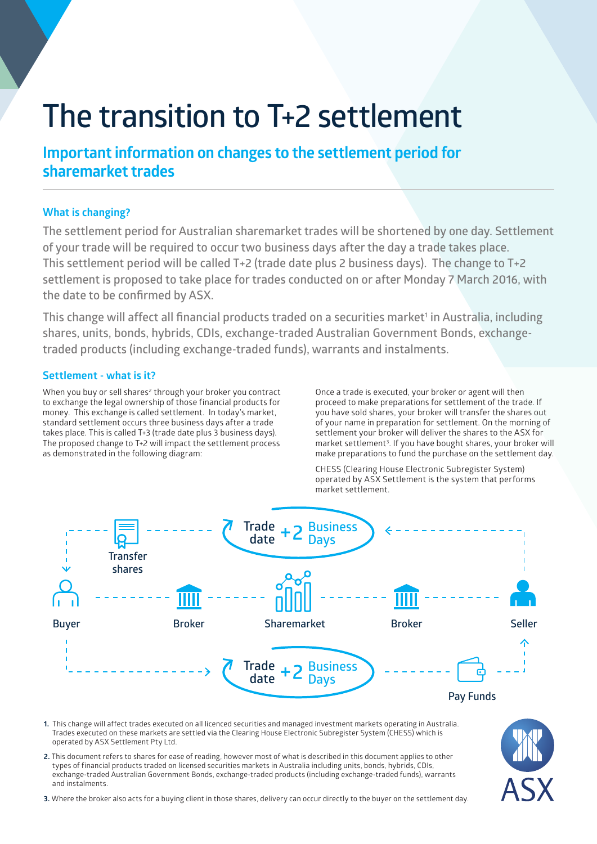# **The transition to T+2 settlement**

# **Important information on changes to the settlement period for sharemarket trades**

# **What is changing?**

**The settlement period for Australian sharemarket trades will be shortened by one day. Settlement of your trade will be required to occur two business days after the day a trade takes place. This settlement period will be called T+2 (trade date plus 2 business days). The change to T+2 settlement is proposed to take place for trades conducted on or after Monday 7 March 2016, with the date to be confirmed by ASX.**

This change will affect all financial products traded on a securities market<sup>1</sup> in Australia, including **shares, units, bonds, hybrids, CDIs, exchange-traded Australian Government Bonds, exchangetraded products (including exchange-traded funds), warrants and instalments.**

# **Settlement - what is it?**

When you buy or sell shares<sup>2</sup> through your broker you contract to exchange the legal ownership of those financial products for money. This exchange is called settlement. In today's market, standard settlement occurs three business days after a trade takes place. This is called T+3 (trade date plus 3 business days). The proposed change to T+2 will impact the settlement process as demonstrated in the following diagram:

Once a trade is executed, your broker or agent will then proceed to make preparations for settlement of the trade. If you have sold shares, your broker will transfer the shares out of your name in preparation for settlement. On the morning of settlement your broker will deliver the shares to the ASX for market settlement<sup>3</sup>. If you have bought shares, your broker will make preparations to fund the purchase on the settlement day.

CHESS (Clearing House Electronic Subregister System) operated by ASX Settlement is the system that performs market settlement.



- **1.** This change will affect trades executed on all licenced securities and managed investment markets operating in Australia. Trades executed on these markets are settled via the Clearing House Electronic Subregister System (CHESS) which is operated by ASX Settlement Pty Ltd.
- **2.** This document refers to shares for ease of reading, however most of what is described in this document applies to other types of financial products traded on licensed securities markets in Australia including units, bonds, hybrids, CDIs, exchange-traded Australian Government Bonds, exchange-traded products (including exchange-traded funds), warrants and instalments.